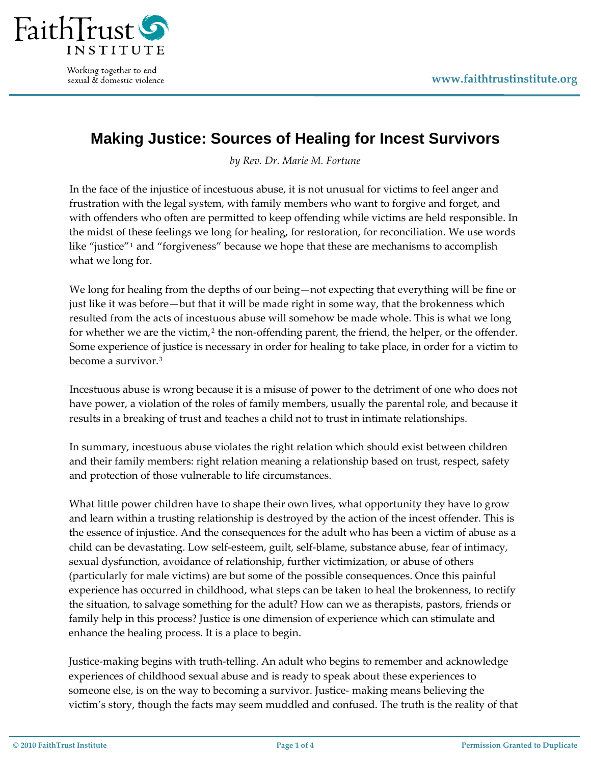

Working together to end sexual & domestic violence

## **Making Justice: Sources of Healing for Incest Survivors**

*by Rev. Dr. Marie M. Fortune*

In the face of the injustice of incestuous abuse, it is not unusual for victims to feel anger and frustration with the legal system, with family members who want to forgive and forget, and with offenders who often are permitted to keep offending while victims are held responsible. In the midst of these feelings we long for healing, for restoration, for reconciliation. We use words like "justice"<sup>[1](#page-3-0)</sup> and "forgiveness" because we hope that these are mechanisms to accomplish what we long for.

We long for healing from the depths of our being—not expecting that everything will be fine or just like it was before—but that it will be made right in some way, that the brokenness which resulted from the acts of incestuous abuse will somehow be made whole. This is what we long for whether we are the victim, $2$  the non-offending parent, the friend, the helper, or the offender. Some experience of justice is necessary in order for healing to take place, in order for a victim to become a survivor.[3](#page-3-1)

Incestuous abuse is wrong because it is a misuse of power to the detriment of one who does not have power, a violation of the roles of family members, usually the parental role, and because it results in a breaking of trust and teaches a child not to trust in intimate relationships.

In summary, incestuous abuse violates the right relation which should exist between children and their family members: right relation meaning a relationship based on trust, respect, safety and protection of those vulnerable to life circumstances.

What little power children have to shape their own lives, what opportunity they have to grow and learn within a trusting relationship is destroyed by the action of the incest offender. This is the essence of injustice. And the consequences for the adult who has been a victim of abuse as a child can be devastating. Low self‐esteem, guilt, self‐blame, substance abuse, fear of intimacy, sexual dysfunction, avoidance of relationship, further victimization, or abuse of others (particularly for male victims) are but some of the possible consequences. Once this painful experience has occurred in childhood, what steps can be taken to heal the brokenness, to rectify the situation, to salvage something for the adult? How can we as therapists, pastors, friends or family help in this process? Justice is one dimension of experience which can stimulate and enhance the healing process. It is a place to begin.

Justice‐making begins with truth‐telling. An adult who begins to remember and acknowledge experiences of childhood sexual abuse and is ready to speak about these experiences to someone else, is on the way to becoming a survivor. Justice- making means believing the victim's story, though the facts may seem muddled and confused. The truth is the reality of that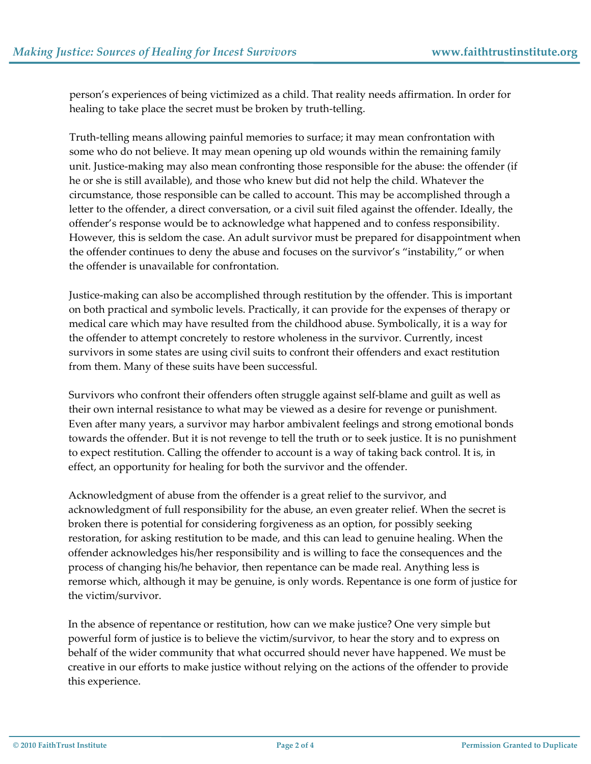person's experiences of being victimized as a child. That reality needs affirmation. In order for healing to take place the secret must be broken by truth-telling.

Truth-telling means allowing painful memories to surface; it may mean confrontation with some who do not believe. It may mean opening up old wounds within the remaining family unit. Justice-making may also mean confronting those responsible for the abuse: the offender (if he or she is still available), and those who knew but did not help the child. Whatever the circumstance, those responsible can be called to account. This may be accomplished through a letter to the offender, a direct conversation, or a civil suit filed against the offender. Ideally, the offender's response would be to acknowledge what happened and to confess responsibility. However, this is seldom the case. An adult survivor must be prepared for disappointment when the offender continues to deny the abuse and focuses on the survivor's "instability," or when the offender is unavailable for confrontation.

Justice‐making can also be accomplished through restitution by the offender. This is important on both practical and symbolic levels. Practically, it can provide for the expenses of therapy or medical care which may have resulted from the childhood abuse. Symbolically, it is a way for the offender to attempt concretely to restore wholeness in the survivor. Currently, incest survivors in some states are using civil suits to confront their offenders and exact restitution from them. Many of these suits have been successful.

Survivors who confront their offenders often struggle against self‐blame and guilt as well as their own internal resistance to what may be viewed as a desire for revenge or punishment. Even after many years, a survivor may harbor ambivalent feelings and strong emotional bonds towards the offender. But it is not revenge to tell the truth or to seek justice. It is no punishment to expect restitution. Calling the offender to account is a way of taking back control. It is, in effect, an opportunity for healing for both the survivor and the offender.

Acknowledgment of abuse from the offender is a great relief to the survivor, and acknowledgment of full responsibility for the abuse, an even greater relief. When the secret is broken there is potential for considering forgiveness as an option, for possibly seeking restoration, for asking restitution to be made, and this can lead to genuine healing. When the offender acknowledges his/her responsibility and is willing to face the consequences and the process of changing his/he behavior, then repentance can be made real. Anything less is remorse which, although it may be genuine, is only words. Repentance is one form of justice for the victim/survivor.

In the absence of repentance or restitution, how can we make justice? One very simple but powerful form of justice is to believe the victim/survivor, to hear the story and to express on behalf of the wider community that what occurred should never have happened. We must be creative in our efforts to make justice without relying on the actions of the offender to provide this experience.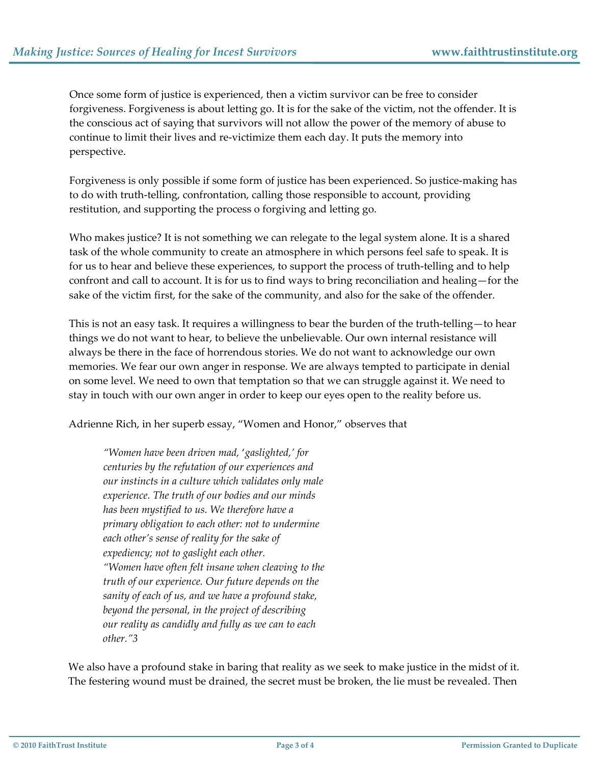Once some form of justice is experienced, then a victim survivor can be free to consider forgiveness. Forgiveness is about letting go. It is for the sake of the victim, not the offender. It is the conscious act of saying that survivors will not allow the power of the memory of abuse to continue to limit their lives and re‐victimize them each day. It puts the memory into perspective.

Forgiveness is only possible if some form of justice has been experienced. So justice-making has to do with truth‐telling, confrontation, calling those responsible to account, providing restitution, and supporting the process o forgiving and letting go.

Who makes justice? It is not something we can relegate to the legal system alone. It is a shared task of the whole community to create an atmosphere in which persons feel safe to speak. It is for us to hear and believe these experiences, to support the process of truth-telling and to help confront and call to account. It is for us to find ways to bring reconciliation and healing—for the sake of the victim first, for the sake of the community, and also for the sake of the offender.

This is not an easy task. It requires a willingness to bear the burden of the truth-telling—to hear things we do not want to hear, to believe the unbelievable. Our own internal resistance will always be there in the face of horrendous stories. We do not want to acknowledge our own memories. We fear our own anger in response. We are always tempted to participate in denial on some level. We need to own that temptation so that we can struggle against it. We need to stay in touch with our own anger in order to keep our eyes open to the reality before us.

Adrienne Rich, in her superb essay, "Women and Honor," observes that

*"Women have been driven mad,* '*gaslighted,' for centuries by the refutation of our experiences and our instincts in a culture which validates only male experience. The truth of our bodies and our minds has been mystified to us. We therefore have a primary obligation to each other: not to undermine each other's sense of reality for the sake of expediency; not to gaslight each other. "Women have often felt insane when cleaving to the truth of our experience. Our future depends on the sanity of each of us, and we have a profound stake, beyond the personal, in the project of describing our reality as candidly and fully as we can to each other."3*

We also have a profound stake in baring that reality as we seek to make justice in the midst of it. The festering wound must be drained, the secret must be broken, the lie must be revealed. Then